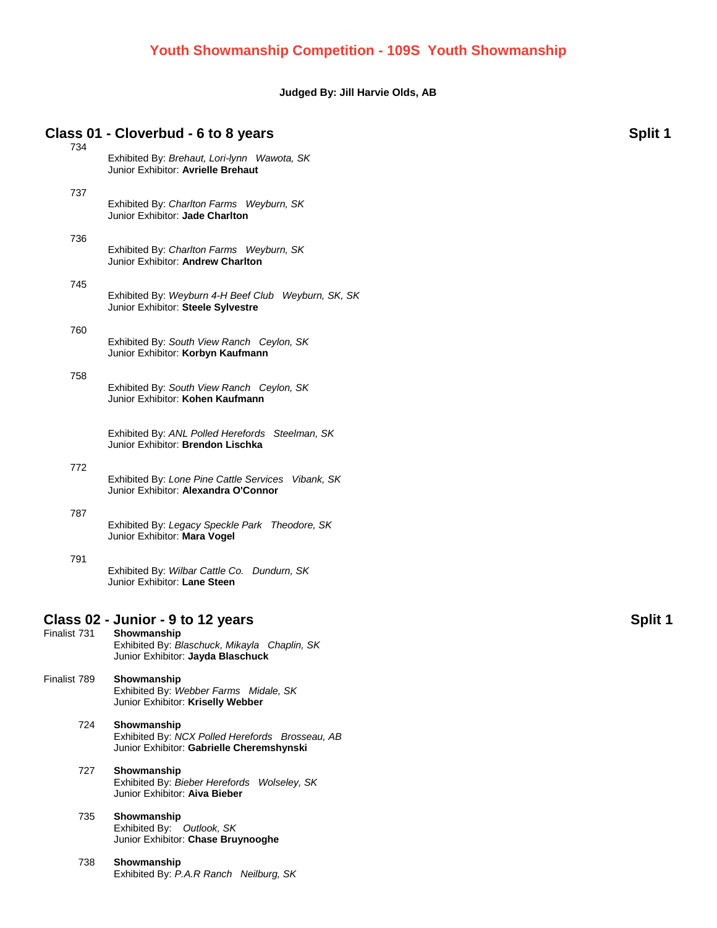### **Judged By: Jill Harvie Olds, AB**

### **Class 01 - Cloverbud - 6 to 8 years Split 1**

| 734          | Exhibited By: Brehaut, Lori-lynn Wawota, SK<br>Junior Exhibitor: Avrielle Brehaut                                                     |                |
|--------------|---------------------------------------------------------------------------------------------------------------------------------------|----------------|
| 737          | Exhibited By: Charlton Farms Weyburn, SK<br>Junior Exhibitor: Jade Charlton                                                           |                |
| 736          | Exhibited By: Charlton Farms Weyburn, SK<br>Junior Exhibitor: Andrew Charlton                                                         |                |
| 745          | Exhibited By: Weyburn 4-H Beef Club Weyburn, SK, SK<br>Junior Exhibitor: Steele Sylvestre                                             |                |
| 760          | Exhibited By: South View Ranch Ceylon, SK<br>Junior Exhibitor: Korbyn Kaufmann                                                        |                |
| 758          | Exhibited By: South View Ranch Ceylon, SK<br>Junior Exhibitor: Kohen Kaufmann                                                         |                |
|              | Exhibited By: ANL Polled Herefords Steelman, SK<br>Junior Exhibitor: Brendon Lischka                                                  |                |
| 772          | Exhibited By: Lone Pine Cattle Services Vibank, SK<br>Junior Exhibitor: Alexandra O'Connor                                            |                |
| 787          | Exhibited By: Legacy Speckle Park Theodore, SK<br>Junior Exhibitor: Mara Vogel                                                        |                |
| 791          | Exhibited By: Wilbar Cattle Co. Dundurn, SK<br>Junior Exhibitor: Lane Steen                                                           |                |
| Finalist 731 | Class 02 - Junior - 9 to 12 years<br>Showmanship<br>Exhibited By: Blaschuck, Mikayla Chaplin, SK<br>Junior Exhibitor: Jayda Blaschuck | <b>Split 1</b> |
| Finalist 789 | Showmanship<br>Exhibited By: Webber Farms Midale, SK<br>Junior Exhibitor: Kriselly Webber                                             |                |
| 724          | Showmanship<br>Exhibited By: NCX Polled Herefords Brosseau, AB<br>Junior Exhibitor: Gabrielle Cheremshynski                           |                |
| 727          | Showmanship<br>Exhibited By: Bieber Herefords Wolseley, SK<br>Junior Exhibitor: Aiva Bieber                                           |                |
| 735          | Showmanship<br>Exhibited By: Outlook, SK<br>Junior Exhibitor: Chase Bruynooghe                                                        |                |
| 738          | Showmanship<br>Exhibited By: P.A.R Ranch Neilburg, SK                                                                                 |                |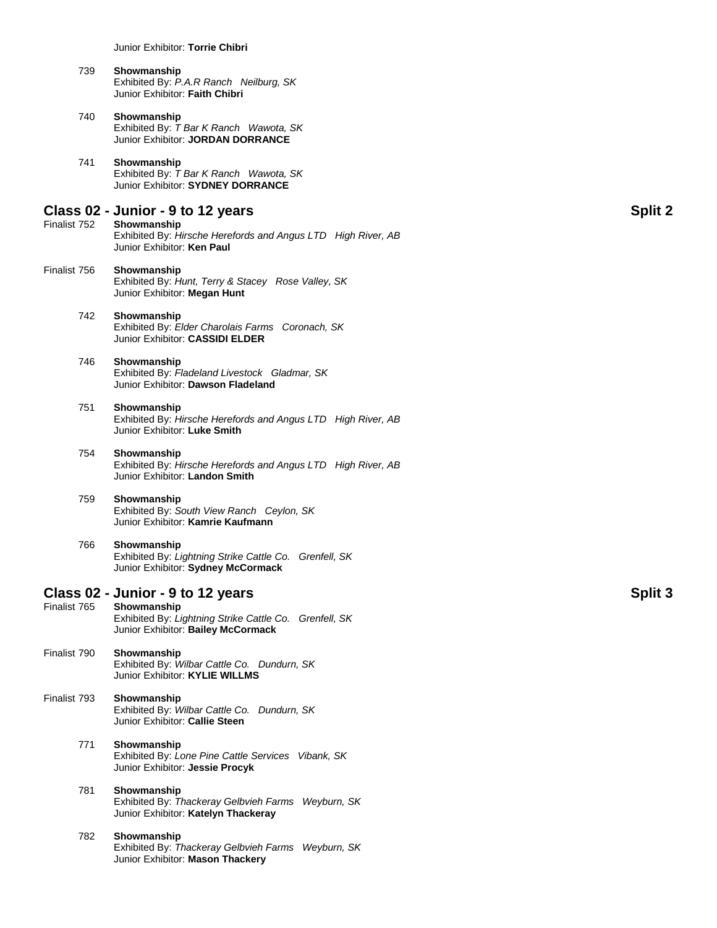Junior Exhibitor: **Torrie Chibri**

| 739 | Showmanship                            |  |
|-----|----------------------------------------|--|
|     | Exhibited By: P.A.R Ranch Neilburg, SK |  |
|     | Junior Exhibitor: Faith Chibri         |  |

#### 740 **Showmanship** Exhibited By: *T Bar K Ranch Wawota, SK* Junior Exhibitor: **JORDAN DORRANCE**

#### 741 **Showmanship** Exhibited By: *T Bar K Ranch Wawota, SK* Junior Exhibitor: **SYDNEY DORRANCE**

## **Class 02 - Junior - 9 to 12 years Split 2**

- **Showmanship** Exhibited By: *Hirsche Herefords and Angus LTD High River, AB* Junior Exhibitor: **Ken Paul**
- Finalist 756 **Showmanship** Exhibited By: *Hunt, Terry & Stacey Rose Valley, SK* Junior Exhibitor: **Megan Hunt**

#### 742 **Showmanship** Exhibited By: *Elder Charolais Farms Coronach, SK* Junior Exhibitor: **CASSIDI ELDER**

#### 746 **Showmanship** Exhibited By: *Fladeland Livestock Gladmar, SK* Junior Exhibitor: **Dawson Fladeland**

#### 751 **Showmanship** Exhibited By: *Hirsche Herefords and Angus LTD High River, AB* Junior Exhibitor: **Luke Smith**

754 **Showmanship** Exhibited By: *Hirsche Herefords and Angus LTD High River, AB* Junior Exhibitor: **Landon Smith**

#### 759 **Showmanship** Exhibited By: *South View Ranch Ceylon, SK* Junior Exhibitor: **Kamrie Kaufmann**

#### 766 **Showmanship** Exhibited By: *Lightning Strike Cattle Co. Grenfell, SK* Junior Exhibitor: **Sydney McCormack**

# **Class 02 - Junior - 9 to 12 years Split 3**

Showmanship Exhibited By: *Lightning Strike Cattle Co. Grenfell, SK* Junior Exhibitor: **Bailey McCormack** Finalist 790 **Showmanship** Exhibited By: *Wilbar Cattle Co. Dundurn, SK* Junior Exhibitor: **KYLIE WILLMS** Finalist 793 **Showmanship** Exhibited By: *Wilbar Cattle Co. Dundurn, SK* Junior Exhibitor: **Callie Steen** 771 **Showmanship** Exhibited By: *Lone Pine Cattle Services Vibank, SK* Junior Exhibitor: **Jessie Procyk** 781 **Showmanship** Exhibited By: *Thackeray Gelbvieh Farms Weyburn, SK* Junior Exhibitor: **Katelyn Thackeray**

#### 782 **Showmanship** Exhibited By: *Thackeray Gelbvieh Farms Weyburn, SK* Junior Exhibitor: **Mason Thackery**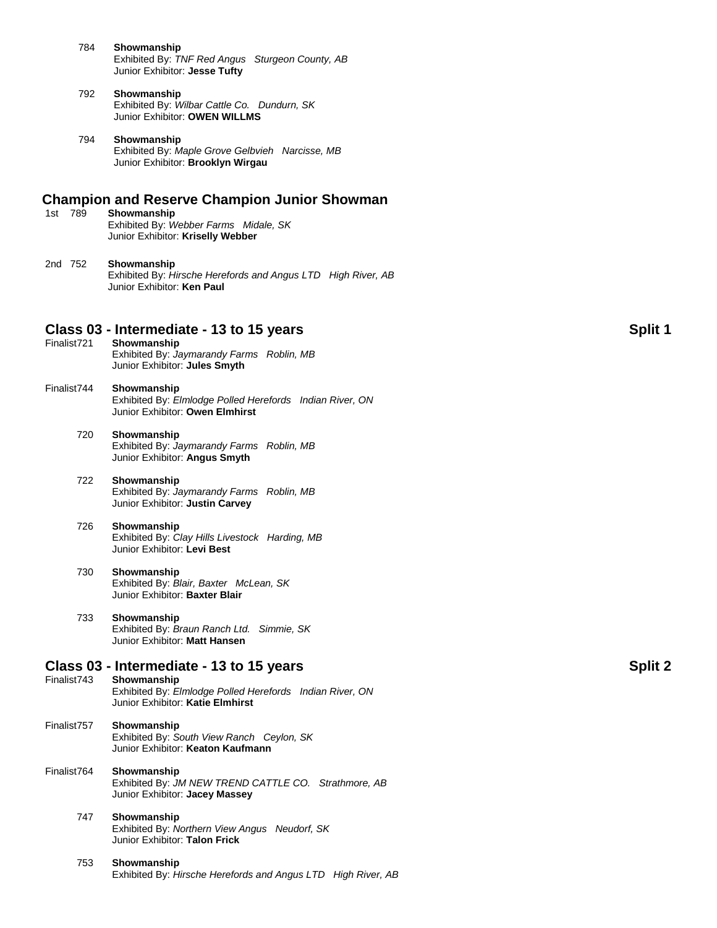- 784 **Showmanship** Exhibited By: *TNF Red Angus Sturgeon County, AB* Junior Exhibitor: **Jesse Tufty**
- 792 **Showmanship** Exhibited By: *Wilbar Cattle Co. Dundurn, SK* Junior Exhibitor: **OWEN WILLMS**
- 794 **Showmanship** Exhibited By: *Maple Grove Gelbvieh Narcisse, MB* Junior Exhibitor: **Brooklyn Wirgau**

## **Champion and Reserve Champion Junior Showman**

- Showmanship Exhibited By: *Webber Farms Midale, SK* Junior Exhibitor: **Kriselly Webber**
- 2nd 752 **Showmanship** Exhibited By: *Hirsche Herefords and Angus LTD High River, AB* Junior Exhibitor: **Ken Paul**

# **Class 03 - Intermediate - 13 to 15 years Split 1**

- Showmanship Exhibited By: *Jaymarandy Farms Roblin, MB* Junior Exhibitor: **Jules Smyth**
- Finalist744 **Showmanship** Exhibited By: *Elmlodge Polled Herefords Indian River, ON* Junior Exhibitor: **Owen Elmhirst**

#### 720 **Showmanship** Exhibited By: *Jaymarandy Farms Roblin, MB* Junior Exhibitor: **Angus Smyth**

722 **Showmanship** Exhibited By: *Jaymarandy Farms Roblin, MB* Junior Exhibitor: **Justin Carvey**

#### 726 **Showmanship** Exhibited By: *Clay Hills Livestock Harding, MB* Junior Exhibitor: **Levi Best**

#### 730 **Showmanship** Exhibited By: *Blair, Baxter McLean, SK* Junior Exhibitor: **Baxter Blair**

733 **Showmanship** Exhibited By: *Braun Ranch Ltd. Simmie, SK* Junior Exhibitor: **Matt Hansen**

### **Class 03 - Intermediate - 13 to 15 years Split 2**

- Finalist743 **Showmanship** Exhibited By: *Elmlodge Polled Herefords Indian River, ON* Junior Exhibitor: **Katie Elmhirst** Finalist757 **Showmanship** Exhibited By: *South View Ranch Ceylon, SK* Junior Exhibitor: **Keaton Kaufmann**
- Finalist764 **Showmanship** Exhibited By: *JM NEW TREND CATTLE CO. Strathmore, AB* Junior Exhibitor: **Jacey Massey**

#### 747 **Showmanship** Exhibited By: *Northern View Angus Neudorf, SK* Junior Exhibitor: **Talon Frick**

#### 753 **Showmanship** Exhibited By: *Hirsche Herefords and Angus LTD High River, AB*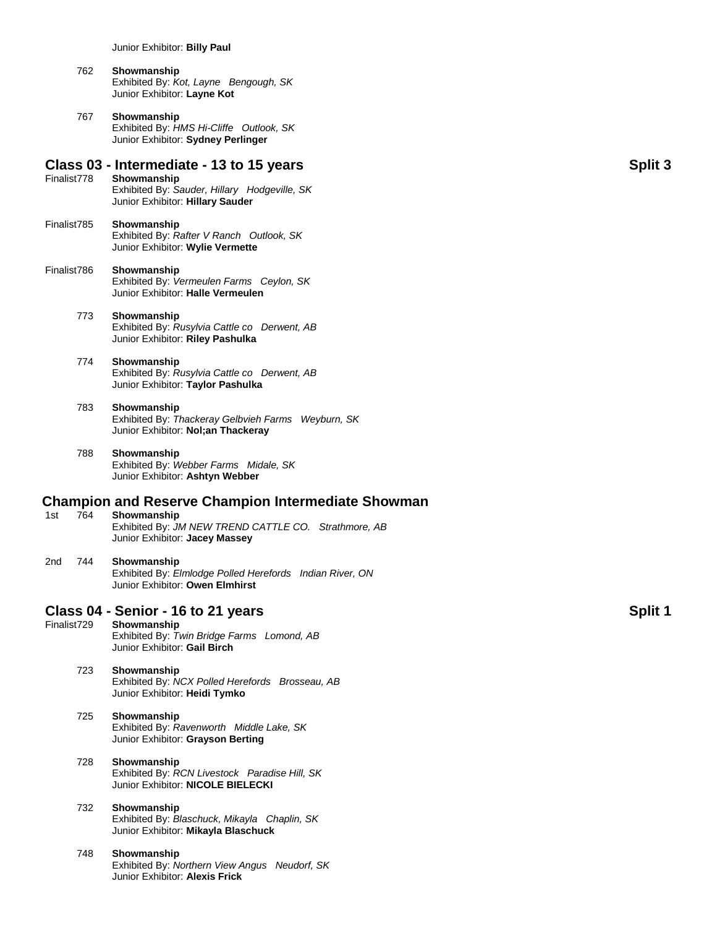#### 762 **Showmanship** Exhibited By: *Kot, Layne Bengough, SK* Junior Exhibitor: **Layne Kot**

767 **Showmanship** Exhibited By: *HMS Hi-Cliffe Outlook, SK* Junior Exhibitor: **Sydney Perlinger**

### **Class 03 - Intermediate - 13 to 15 years Split 3**

- Finalist778 **Showmanship** Exhibited By: *Sauder, Hillary Hodgeville, SK* Junior Exhibitor: **Hillary Sauder**
- Finalist785 **Showmanship** Exhibited By: *Rafter V Ranch Outlook, SK* Junior Exhibitor: **Wylie Vermette**

#### Finalist786 **Showmanship** Exhibited By: *Vermeulen Farms Ceylon, SK* Junior Exhibitor: **Halle Vermeulen**

#### 773 **Showmanship** Exhibited By: *Rusylvia Cattle co Derwent, AB* Junior Exhibitor: **Riley Pashulka**

#### 774 **Showmanship** Exhibited By: *Rusylvia Cattle co Derwent, AB* Junior Exhibitor: **Taylor Pashulka**

#### 783 **Showmanship**

Exhibited By: *Thackeray Gelbvieh Farms Weyburn, SK* Junior Exhibitor: **Nol;an Thackeray**

#### 788 **Showmanship** Exhibited By: *Webber Farms Midale, SK*

Junior Exhibitor: **Ashtyn Webber**

# **Champion and Reserve Champion Intermediate Showman <br>1st 764 Showmanship**

- Showmanship
	- Exhibited By: *JM NEW TREND CATTLE CO. Strathmore, AB* Junior Exhibitor: **Jacey Massey**

#### 2nd 744 **Showmanship**

Exhibited By: *Elmlodge Polled Herefords Indian River, ON* Junior Exhibitor: **Owen Elmhirst**

### **Class 04 - Senior - 16 to 21 years Split 1**

Finalist729 **Showmanship** Exhibited By: *Twin Bridge Farms Lomond, AB* Junior Exhibitor: **Gail Birch**

#### 723 **Showmanship** Exhibited By: *NCX Polled Herefords Brosseau, AB* Junior Exhibitor: **Heidi Tymko**

# 725 **Showmanship**

Exhibited By: *Ravenworth Middle Lake, SK* Junior Exhibitor: **Grayson Berting**

#### 728 **Showmanship** Exhibited By: *RCN Livestock Paradise Hill, SK* Junior Exhibitor: **NICOLE BIELECKI**

#### 732 **Showmanship** Exhibited By: *Blaschuck, Mikayla Chaplin, SK* Junior Exhibitor: **Mikayla Blaschuck**

### 748 **Showmanship**

Exhibited By: *Northern View Angus Neudorf, SK* Junior Exhibitor: **Alexis Frick**